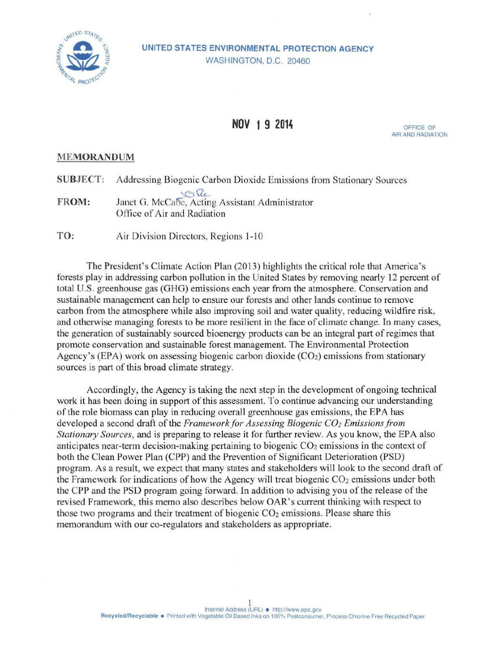

## **UNITED STATES ENVIRONMENTAL PROTECTION AGENCY**  WASHINGTON, D.C. 20460

## **NOV 1 9 2014 OFFICE OF**

AIR AND RADIATION

## **MEMORANDUM**

|              | <b>SUBJECT:</b> Addressing Biogenic Carbon Dioxide Emissions from Stationary Sources |
|--------------|--------------------------------------------------------------------------------------|
| <b>FROM:</b> | Janet G. McCabe, Acting Assistant Administrator<br>Office of Air and Radiation       |
| TO:          | Air Division Directors, Regions 1-10                                                 |

The President's Climate Action Plan (2013) highlights the critical role that America's forests play in addressing carbon pollution in the United States by removing nearly 12 percent of total U.S. greenhouse gas (GHG) emissions each year from the atmosphere. Conservation and sustainable management can help to ensure our forests and other lands continue to remove carbon from the atmosphere while also improving soil and water quality, reducing wildfire risk, and otherwise managing forests to be more resilient in the face of climate change. In many cases, the generation of sustainably sourced bioenergy products can be an integral part of regimes that promote conservation and sustainable forest management. The Environmental Protection Agency's (EPA) work on assessing biogenic carbon dioxide  $(CO<sub>2</sub>)$  emissions from stationary sources is part of this broad climate strategy.

Accordingly, the Agency is taking the next step in the development of ongoing technical work it has been doing in support of this assessment. To continue advancing our understanding of the role biomass can play in reducing overall greenhouse gas emissions, the EPA has developed a second draft of the *Framework for Assessing Biogenic CO<sub>2</sub> Emissions from Stationary Sources,* and is preparing to release it for further review. As you know, the EPA also anticipates near-term decision-making pertaining to biogenic  $CO<sub>2</sub>$  emissions in the context of both the Clean Power Plan (CPP) and the Prevention of Significant Deterioration (PSD) program. As a result, we expect that many states and stakeholders will look to the second draft of the Framework for indications of how the Agency will treat biogenic  $CO<sub>2</sub>$  emissions under both the CPP and the PSD program going forward. In addition to advising you of the release of the revised Framework, this memo also describes below OAR's current thinking with respect to those two programs and their treatment of biogenic  $CO<sub>2</sub>$  emissions. Please share this memorandum with our co-regulators and stakeholders as appropriate.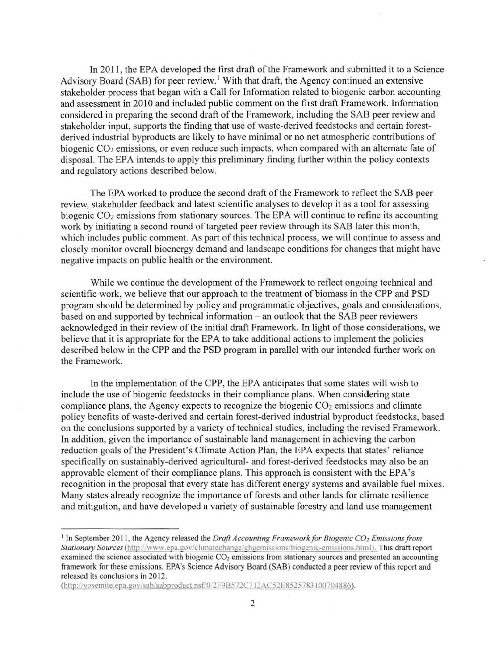In 2011, the EPA developed the first draft of the Framework and submitted it to a Science Advisory Board (SAB) for peer review.<sup>1</sup> With that draft, the Agency continued an extensive stakeholder process that began with a Call for Information related to biogenic carbon accounting and assessment in 2010 and included public comment on the first draft Framework. Information considered in preparing the second draft of the Framework, including the SAB peer review and stakeholder input, supports the finding that use of waste-derived feedstocks and certain forestderived industrial byproducts are likely to have minimal or no net atmospheric contributions of biogenic CO<sub>2</sub> emissions, or even reduce such impacts, when compared with an alternate fate of disposal. The EPA intends to apply this preliminary finding further within the policy contexts and regulatory actions described below.

The EPA worked to produce the second draft of the Framework to reflect the SAB peer review, stakeholder feedback and latest scientific analyses to develop it as a tool for assessing biogenic CO<sub>2</sub> emissions from stationary sources. The EPA will continue to refine its accounting work by initiating a second round of targeted peer review through its SAB later this month, which includes public comment. As part of this technical process, we will continue to assess and closely monitor overall bioenergy demand and landscape conditions for changes that might have negative impacts on public health or the environment.

While we continue the development of the Framework to reflect ongoing technical and scientific work, we believe that our approach to the treatment of biomass in the CPP and PSD program should be determined by policy and programmatic objectives, goals and considerations, based on and supported by technical information – an outlook that the SAB peer reviewers acknowledged in their review of the initial draft Framework. In light of those considerations, we believe that it is appropriate for the EPA to take additional actions to implement the policies described below in the CPP and the PSD program in parallel with our intended further work on the Framework.

In the implementation of the CPP, the EPA anticipates that some states will wish to include the use of biogenic feedstocks in their compliance plans. When considering state compliance plans, the Agency expects to recognize the biogenic  $CO<sub>2</sub>$  emissions and climate policy benefits of waste-derived and certain forest-derived industrial byproduct feedstocks, based on the conclusions supported by a variety of technical studies, including the revised Framework. In addition, given the importance of sustainable land management in achieving the carbon reduction goals of the President's Climate Action Plan, the EPA expects that states' reliance specifically on sustainably-derived agricultural- and forest-derived feedstocks may also be an approvable element of their compliance plans. This approach is consistent with the EPA's recognition in the proposal that every state has different energy systems and available fuel mixes. Many states already recognize the importance of forests and other lands for climate resilience and mitigation, and have developed a variety of sustainable forestry and land use management

<sup>1</sup> In September 20 II, the Agency released the *Draft Accounting Framework for Biogenic C02 Emissions from*  Stationary Sources (http://www.epa.gov/climatechange/ghgemissions/biogenic-emissions.html). This draft report examined the science associated with biogenic CO<sub>2</sub> emissions from stationary sources and presented an accounting framework for these emissions. EPA's Science Advisory Board (SAB) conducted a peer review of this report and released its conclusions in 2012.

<sup>(</sup>http://yosemite.epa.gov/sab/sabproduct.nsf/0/2F9B572C712AC52E8525783100704886).